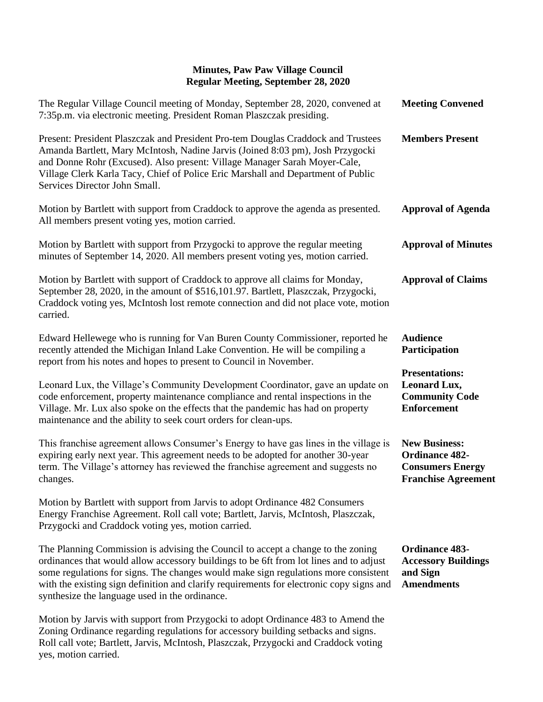## **Minutes, Paw Paw Village Council Regular Meeting, September 28, 2020**

| The Regular Village Council meeting of Monday, September 28, 2020, convened at<br>7:35p.m. via electronic meeting. President Roman Plaszczak presiding.                                                                                                                                                                                                                                                         | <b>Meeting Convened</b>                                                                                |
|-----------------------------------------------------------------------------------------------------------------------------------------------------------------------------------------------------------------------------------------------------------------------------------------------------------------------------------------------------------------------------------------------------------------|--------------------------------------------------------------------------------------------------------|
| Present: President Plaszczak and President Pro-tem Douglas Craddock and Trustees<br>Amanda Bartlett, Mary McIntosh, Nadine Jarvis (Joined 8:03 pm), Josh Przygocki<br>and Donne Rohr (Excused). Also present: Village Manager Sarah Moyer-Cale,<br>Village Clerk Karla Tacy, Chief of Police Eric Marshall and Department of Public<br>Services Director John Small.                                            | <b>Members Present</b>                                                                                 |
| Motion by Bartlett with support from Craddock to approve the agenda as presented.<br>All members present voting yes, motion carried.                                                                                                                                                                                                                                                                            | <b>Approval of Agenda</b>                                                                              |
| Motion by Bartlett with support from Przygocki to approve the regular meeting<br>minutes of September 14, 2020. All members present voting yes, motion carried.                                                                                                                                                                                                                                                 | <b>Approval of Minutes</b>                                                                             |
| Motion by Bartlett with support of Craddock to approve all claims for Monday,<br>September 28, 2020, in the amount of \$516,101.97. Bartlett, Plaszczak, Przygocki,<br>Craddock voting yes, McIntosh lost remote connection and did not place vote, motion<br>carried.                                                                                                                                          | <b>Approval of Claims</b>                                                                              |
| Edward Hellewege who is running for Van Buren County Commissioner, reported he<br>recently attended the Michigan Inland Lake Convention. He will be compiling a<br>report from his notes and hopes to present to Council in November.                                                                                                                                                                           | <b>Audience</b><br>Participation                                                                       |
| Leonard Lux, the Village's Community Development Coordinator, gave an update on<br>code enforcement, property maintenance compliance and rental inspections in the<br>Village. Mr. Lux also spoke on the effects that the pandemic has had on property<br>maintenance and the ability to seek court orders for clean-ups.                                                                                       | <b>Presentations:</b><br>Leonard Lux,<br><b>Community Code</b><br><b>Enforcement</b>                   |
| This franchise agreement allows Consumer's Energy to have gas lines in the village is<br>expiring early next year. This agreement needs to be adopted for another 30-year<br>term. The Village's attorney has reviewed the franchise agreement and suggests no<br>changes.                                                                                                                                      | <b>New Business:</b><br><b>Ordinance 482-</b><br><b>Consumers Energy</b><br><b>Franchise Agreement</b> |
| Motion by Bartlett with support from Jarvis to adopt Ordinance 482 Consumers<br>Energy Franchise Agreement. Roll call vote; Bartlett, Jarvis, McIntosh, Plaszczak,<br>Przygocki and Craddock voting yes, motion carried.                                                                                                                                                                                        |                                                                                                        |
| The Planning Commission is advising the Council to accept a change to the zoning<br>ordinances that would allow accessory buildings to be 6ft from lot lines and to adjust<br>some regulations for signs. The changes would make sign regulations more consistent<br>with the existing sign definition and clarify requirements for electronic copy signs and<br>synthesize the language used in the ordinance. | <b>Ordinance 483-</b><br><b>Accessory Buildings</b><br>and Sign<br><b>Amendments</b>                   |
| Motion by Jarvis with support from Przygocki to adopt Ordinance 483 to Amend the<br>Zoning Ordinance regarding regulations for accessory building setbacks and signs.<br>Roll call vote; Bartlett, Jarvis, McIntosh, Plaszczak, Przygocki and Craddock voting                                                                                                                                                   |                                                                                                        |

yes, motion carried.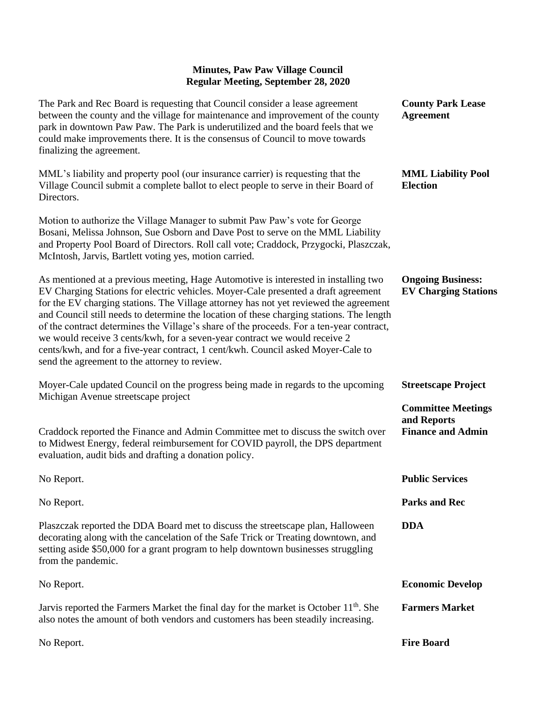## **Minutes, Paw Paw Village Council Regular Meeting, September 28, 2020**

| The Park and Rec Board is requesting that Council consider a lease agreement<br>between the county and the village for maintenance and improvement of the county<br>park in downtown Paw Paw. The Park is underutilized and the board feels that we<br>could make improvements there. It is the consensus of Council to move towards<br>finalizing the agreement.                                                                                                                                                                                                                                                                                                             | <b>County Park Lease</b><br><b>Agreement</b>                         |
|-------------------------------------------------------------------------------------------------------------------------------------------------------------------------------------------------------------------------------------------------------------------------------------------------------------------------------------------------------------------------------------------------------------------------------------------------------------------------------------------------------------------------------------------------------------------------------------------------------------------------------------------------------------------------------|----------------------------------------------------------------------|
| MML's liability and property pool (our insurance carrier) is requesting that the<br>Village Council submit a complete ballot to elect people to serve in their Board of<br>Directors.                                                                                                                                                                                                                                                                                                                                                                                                                                                                                         | <b>MML Liability Pool</b><br><b>Election</b>                         |
| Motion to authorize the Village Manager to submit Paw Paw's vote for George<br>Bosani, Melissa Johnson, Sue Osborn and Dave Post to serve on the MML Liability<br>and Property Pool Board of Directors. Roll call vote; Craddock, Przygocki, Plaszczak,<br>McIntosh, Jarvis, Bartlett voting yes, motion carried.                                                                                                                                                                                                                                                                                                                                                             |                                                                      |
| As mentioned at a previous meeting, Hage Automotive is interested in installing two<br>EV Charging Stations for electric vehicles. Moyer-Cale presented a draft agreement<br>for the EV charging stations. The Village attorney has not yet reviewed the agreement<br>and Council still needs to determine the location of these charging stations. The length<br>of the contract determines the Village's share of the proceeds. For a ten-year contract,<br>we would receive 3 cents/kwh, for a seven-year contract we would receive 2<br>cents/kwh, and for a five-year contract, 1 cent/kwh. Council asked Moyer-Cale to<br>send the agreement to the attorney to review. | <b>Ongoing Business:</b><br><b>EV Charging Stations</b>              |
| Moyer-Cale updated Council on the progress being made in regards to the upcoming<br>Michigan Avenue streetscape project                                                                                                                                                                                                                                                                                                                                                                                                                                                                                                                                                       | <b>Streetscape Project</b>                                           |
| Craddock reported the Finance and Admin Committee met to discuss the switch over<br>to Midwest Energy, federal reimbursement for COVID payroll, the DPS department<br>evaluation, audit bids and drafting a donation policy.                                                                                                                                                                                                                                                                                                                                                                                                                                                  | <b>Committee Meetings</b><br>and Reports<br><b>Finance and Admin</b> |
| No Report.                                                                                                                                                                                                                                                                                                                                                                                                                                                                                                                                                                                                                                                                    | <b>Public Services</b>                                               |
| No Report.                                                                                                                                                                                                                                                                                                                                                                                                                                                                                                                                                                                                                                                                    | <b>Parks and Rec</b>                                                 |
| Plaszczak reported the DDA Board met to discuss the streetscape plan, Halloween<br>decorating along with the cancelation of the Safe Trick or Treating downtown, and<br>setting aside \$50,000 for a grant program to help downtown businesses struggling<br>from the pandemic.                                                                                                                                                                                                                                                                                                                                                                                               | <b>DDA</b>                                                           |
| No Report.                                                                                                                                                                                                                                                                                                                                                                                                                                                                                                                                                                                                                                                                    | <b>Economic Develop</b>                                              |
| Jarvis reported the Farmers Market the final day for the market is October 11 <sup>th</sup> . She<br>also notes the amount of both vendors and customers has been steadily increasing.                                                                                                                                                                                                                                                                                                                                                                                                                                                                                        | <b>Farmers Market</b>                                                |
|                                                                                                                                                                                                                                                                                                                                                                                                                                                                                                                                                                                                                                                                               |                                                                      |

No Report.

**Fire Board**